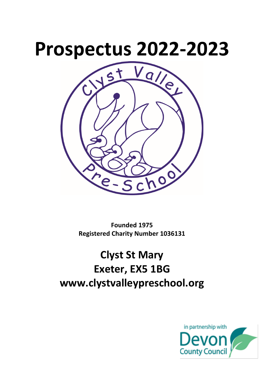

**Founded 1975 Registered Charity Number 1036131**

**Clyst St Mary Exeter, EX5 1BG www.clystvalleypreschool.org**

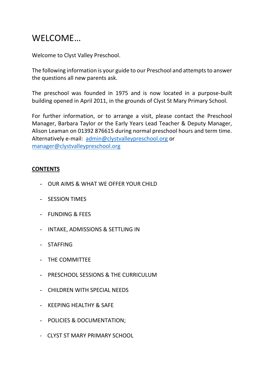# WELCOME…

Welcome to Clyst Valley Preschool.

The following information is your guide to our Preschool and attempts to answer the questions all new parents ask.

The preschool was founded in 1975 and is now located in a purpose-built building opened in April 2011, in the grounds of Clyst St Mary Primary School.

For further information, or to arrange a visit, please contact the Preschool Manager, Barbara Taylor or the Early Years Lead Teacher & Deputy Manager, Alison Leaman on 01392 876615 during normal preschool hours and term time. Alternatively e-mail: [admin@clystvalleypreschool.org](mailto:admin@clystvalleypreschool.org) or [manager@clystvalleypreschool.org](mailto:manager@clystvalleypreschool.org)

#### **CONTENTS**

- OUR AIMS & WHAT WE OFFER YOUR CHILD
- SESSION TIMES
- FUNDING & FEES
- INTAKE, ADMISSIONS & SETTLING IN
- STAFFING
- THE COMMITTEE
- PRESCHOOL SESSIONS & THE CURRICULUM
- CHILDREN WITH SPECIAL NEEDS
- KEEPING HEALTHY & SAFE
- POLICIES & DOCUMENTATION;
- CLYST ST MARY PRIMARY SCHOOL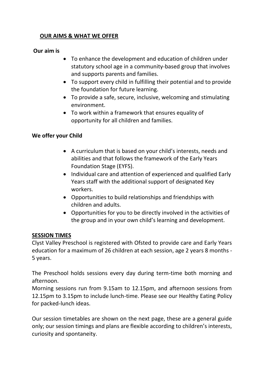## **OUR AIMS & WHAT WE OFFER**

#### **Our aim is**

- To enhance the development and education of children under statutory school age in a community-based group that involves and supports parents and families.
- To support every child in fulfilling their potential and to provide the foundation for future learning.
- To provide a safe, secure, inclusive, welcoming and stimulating environment.
- To work within a framework that ensures equality of opportunity for all children and families.

#### **We offer your Child**

- A curriculum that is based on your child's interests, needs and abilities and that follows the framework of the Early Years Foundation Stage (EYFS).
- Individual care and attention of experienced and qualified Early Years staff with the additional support of designated Key workers.
- Opportunities to build relationships and friendships with children and adults.
- Opportunities for you to be directly involved in the activities of the group and in your own child's learning and development.

#### **SESSION TIMES**

Clyst Valley Preschool is registered with Ofsted to provide care and Early Years education for a maximum of 26 children at each session, age 2 years 8 months - 5 years.

The Preschool holds sessions every day during term-time both morning and afternoon.

Morning sessions run from 9.15am to 12.15pm, and afternoon sessions from 12.15pm to 3.15pm to include lunch-time. Please see our Healthy Eating Policy for packed-lunch ideas.

Our session timetables are shown on the next page, these are a general guide only; our session timings and plans are flexible according to children's interests, curiosity and spontaneity.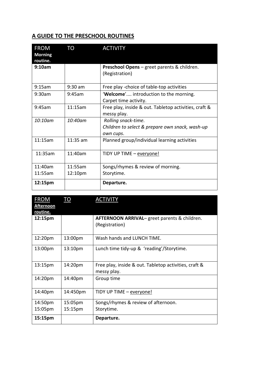# **A GUIDE TO THE PRESCHOOL ROUTINES**

| <b>FROM</b><br><b>Morning</b><br>routine. | <b>TO</b>  | <b>ACTIVITY</b>                                                                     |
|-------------------------------------------|------------|-------------------------------------------------------------------------------------|
| 9:10am                                    |            | Preschool Opens - greet parents & children.<br>(Registration)                       |
| 9:15am                                    | $9:30$ am  | Free play -choice of table-top activities                                           |
| 9:30am                                    | 9:45am     | 'Welcome' introduction to the morning.<br>Carpet time activity.                     |
| 9:45am                                    | 11:15am    | Free play, inside & out. Tabletop activities, craft &<br>messy play.                |
| $10:10$ am                                | 10:40am    | Rolling snack-time.<br>Children to select & prepare own snack, wash-up<br>own cups. |
| 11:15am                                   | $11:35$ am | Planned group/individual learning activities                                        |
| 11:35am                                   | 11:40am    | TIDY UP TIME - everyone!                                                            |
| 11:40am                                   | 11:55am    | Songs/rhymes & review of morning.                                                   |
| 11:55am                                   | 12:10pm    | Storytime.                                                                          |
| 12:15pm                                   |            | Departure.                                                                          |

| <b>FROM</b><br><u>Afternoon</u><br>routine. | TO       | <b>ACTIVITY</b>                                                      |
|---------------------------------------------|----------|----------------------------------------------------------------------|
| 12:15pm                                     |          | AFTERNOON ARRIVAL- greet parents & children.<br>(Registration)       |
| 12:20pm                                     | 13:00pm  | Wash hands and LUNCH TIME.                                           |
| 13:00pm                                     | 13:10pm  | Lunch time tidy-up & 'reading'/Storytime.                            |
| 13:15 <sub>pm</sub>                         | 14:20pm  | Free play, inside & out. Tabletop activities, craft &<br>messy play. |
| 14:20pm                                     | 14:40pm  | Group time                                                           |
| 14:40pm                                     | 14:450pm | TIDY UP TIME - everyone!                                             |
| 14:50pm                                     | 15:05pm  | Songs/rhymes & review of afternoon.                                  |
| 15:05pm                                     | 15:15pm  | Storytime.                                                           |
| 15:15pm                                     |          | Departure.                                                           |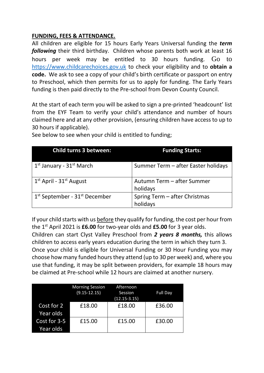## **FUNDING, FEES & ATTENDANCE.**

All children are eligible for 15 hours Early Years Universal funding the *term following* their third birthday. Children whose parents both work at least 16 hours per week may be entitled to 30 hours funding. Go to [https://www.childcarechoices.gov.uk](https://www.childcarechoices.gov.uk/) to check your eligibility and to **obtain a code.** We ask to see a copy of your child's birth certificate or passport on entry to Preschool, which then permits for us to apply for funding. The Early Years funding is then paid directly to the Pre-school from Devon County Council.

At the start of each term you will be asked to sign a pre-printed 'headcount' list from the EYF Team to verify your child's attendance and number of hours claimed here and at any other provision, (ensuring children have access to up to 30 hours if applicable).

| Child turns 3 between:                           | <b>Funding Starts:</b>                    |
|--------------------------------------------------|-------------------------------------------|
| 1 <sup>st</sup> January - 31 <sup>st</sup> March | Summer Term - after Easter holidays       |
| $1st$ April - $31st$ August                      | Autumn Term - after Summer<br>holidays    |
| $1st$ September - 31 $st$ December               | Spring Term - after Christmas<br>holidays |

See below to see when your child is entitled to funding;

If your child starts with us before they qualify for funding, the cost per hour from the 1st April 2021 is **£6.00** for two-year olds and **£5.00** for 3 year olds. Children can start Clyst Valley Preschool from *2 years 8 months,* this allows children to access early years education during the term in which they turn 3. Once your child is eligible for Universal Funding or 30 Hour Funding you may choose how many funded hours they attend (up to 30 per week) and, where you use that funding, it may be split between providers, for example 18 hours may be claimed at Pre-school while 12 hours are claimed at another nursery.

|                           | <b>Morning Session</b><br>$(9.15 - 12.15)$ | Afternoon<br>Session<br>$(12.15 - 3.15)$ | Full Day |
|---------------------------|--------------------------------------------|------------------------------------------|----------|
| Cost for 2<br>Year olds   | £18.00                                     | £18.00                                   | £36.00   |
| Cost for 3-5<br>Year olds | £15.00                                     | £15.00                                   | £30.00   |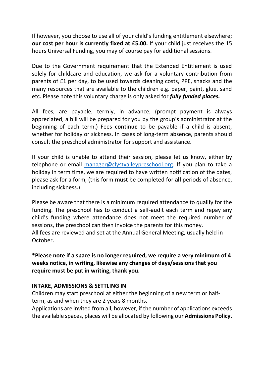If however, you choose to use all of your child's funding entitlement elsewhere; **our cost per hour is currently fixed at £5.00.** If your child just receives the 15 hours Universal Funding, you may of course pay for additional sessions.

Due to the Government requirement that the Extended Entitlement is used solely for childcare and education, we ask for a voluntary contribution from parents of £1 per day, to be used towards cleaning costs, PPE, snacks and the many resources that are available to the children e.g. paper, paint, glue, sand etc. Please note this voluntary charge is only asked for *fully funded places.*

All fees, are payable, termly, in advance, (prompt payment is always appreciated, a bill will be prepared for you by the group's administrator at the beginning of each term.) Fees **continue** to be payable if a child is absent, whether for holiday or sickness. In cases of long-term absence, parents should consult the preschool administrator for support and assistance.

If your child is unable to attend their session, please let us know, either by telephone or email [manager@clystvalleypreschool.org.](mailto:manager@clystvalleypreschool.org) If you plan to take a holiday in term time, we are required to have written notification of the dates, please ask for a form, (this form **must** be completed for **all** periods of absence, including sickness.)

Please be aware that there is a minimum required attendance to qualify for the funding. The preschool has to conduct a self-audit each term and repay any child's funding where attendance does not meet the required number of sessions, the preschool can then invoice the parents for this money. All fees are reviewed and set at the Annual General Meeting, usually held in October.

**\*Please note if a space is no longer required, we require a very minimum of 4 weeks notice, in writing, likewise any changes of days/sessions that you require must be put in writing, thank you.** 

# **INTAKE, ADMISSIONS & SETTLING IN**

Children may start preschool at either the beginning of a new term or halfterm, as and when they are 2 years 8 months.

Applications are invited from all, however, if the number of applications exceeds the available spaces, places will be allocated by following our **Admissions Policy.**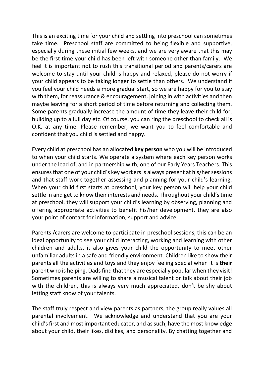This is an exciting time for your child and settling into preschool can sometimes take time. Preschool staff are committed to being flexible and supportive, especially during these initial few weeks, and we are very aware that this may be the first time your child has been left with someone other than family. We feel it is important not to rush this transitional period and parents/carers are welcome to stay until your child is happy and relaxed, please do not worry if your child appears to be taking longer to settle than others. We understand if you feel your child needs a more gradual start, so we are happy for you to stay with them, for reassurance & encouragement, joining in with activities and then maybe leaving for a short period of time before returning and collecting them. Some parents gradually increase the amount of time they leave their child for, building up to a full day etc. Of course, you can ring the preschool to check all is O.K. at any time. Please remember, we want you to feel comfortable and confident that you child is settled and happy.

Every child at preschool has an allocated **key person** who you will be introduced to when your child starts. We operate a system where each key person works under the lead of, and in partnership with, one of our Early Years Teachers. This ensuresthat one of your child's key workers is always present at his/her sessions and that staff work together assessing and planning for your child's learning. When your child first starts at preschool, your key person will help your child settle in and get to know their interests and needs. Throughout your child's time at preschool, they will support your child's learning by observing, planning and offering appropriate activities to benefit his/her development, they are also your point of contact for information, support and advice.

Parents /carers are welcome to participate in preschool sessions, this can be an ideal opportunity to see your child interacting, working and learning with other children and adults, it also gives your child the opportunity to meet other unfamiliar adults in a safe and friendly environment. Children like to show their parents all the activities and toys and they enjoy feeling special when it is **their** parent who is helping. Dads find that they are especially popular when they visit! Sometimes parents are willing to share a musical talent or talk about their job with the children, this is always very much appreciated, don't be shy about letting staff know of your talents.

The staff truly respect and view parents as partners, the group really values all parental involvement. We acknowledge and understand that you are your child's first and most important educator, and as such, have the most knowledge about your child, their likes, dislikes, and personality. By chatting together and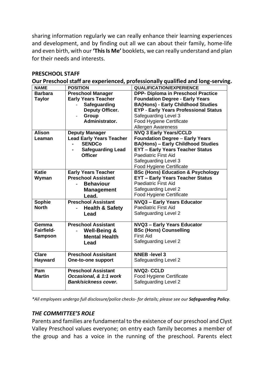sharing information regularly we can really enhance their learning experiences and development, and by finding out all we can about their family, home-life and even birth, with our **'This Is Me'** booklets, we can really understand and plan for their needs and interests.

#### **PRESCHOOL STAFF**

**Our Preschool staff are experienced, professionally qualified and long-serving.**

| <b>NAME</b>       | <b>POSITION</b>                 | <b>QUALIFICATION/EXPERIENCE</b>              |
|-------------------|---------------------------------|----------------------------------------------|
| <b>Barbara</b>    | <b>Preschool Manager</b>        | <b>DPP- Diploma in Preschool Practice</b>    |
| <b>Taylor</b>     | <b>Early Years Teacher</b>      | <b>Foundation Degree - Early Years</b>       |
|                   | Safeguarding                    | <b>BA(Hons) - Early Childhood Studies</b>    |
|                   | Deputy Officer.                 | <b>EYP - Early Years Professional Status</b> |
|                   | Group                           | Safeguarding Level 3                         |
|                   | Administrator.                  | <b>Food Hygiene Certificate</b>              |
|                   |                                 | <b>Allergen Awareness</b>                    |
| <b>Alison</b>     | <b>Deputy Manager</b>           | <b>NVQ 3 Early Years/CCLD</b>                |
| Leaman            | <b>Lead Early Years Teacher</b> | <b>Foundation Degree - Early Years</b>       |
|                   | <b>SENDCo</b>                   | <b>BA(Hons) - Early Childhood Studies</b>    |
|                   | <b>Safeguarding Lead</b>        | <b>EYT - Early Years Teacher Status</b>      |
|                   | <b>Officer</b>                  | <b>Paediatric First Aid</b>                  |
|                   |                                 | Safeguarding Level 3                         |
|                   |                                 | <b>Food Hygiene Certificate</b>              |
| <b>Katie</b>      | <b>Early Years Teacher</b>      | <b>BSc (Hons) Education &amp; Psychology</b> |
| Wyman             | <b>Preschool Assistant</b>      | <b>EYT - Early Years Teacher Status</b>      |
|                   | <b>Behaviour</b>                | Paediatric First Aid                         |
|                   | <b>Management</b>               | Safeguarding Level 2                         |
|                   | Lead.                           | <b>Food Hygiene Certificate</b>              |
| Sophie            | <b>Preschool Assistant</b>      | <b>NVQ3 - Early Years Educator</b>           |
| <b>North</b>      | <b>Health &amp; Safety</b>      | Paediatric First Aid                         |
|                   | Lead                            | Safeguarding Level 2                         |
|                   |                                 |                                              |
| Gemma             | <b>Preschool Assistant</b>      | <b>NVQ3 - Early Years Educator</b>           |
| <b>Fairfield-</b> | <b>Well-Being &amp;</b>         | <b>BSc (Hons) Counselling</b>                |
| <b>Sampson</b>    | <b>Mental Health</b>            | <b>First Aid</b>                             |
|                   | Lead                            | Safeguarding Level 2                         |
|                   |                                 |                                              |
| <b>Clare</b>      | <b>Preschool Assisitant</b>     | <b>NNEB</b> - level 3                        |
| Hayward           | <b>One-to-one support</b>       | Safeguarding Level 2                         |
|                   |                                 |                                              |
| Pam               | <b>Preschool Assistant</b>      | <b>NVQ2- CCLD</b>                            |
| <b>Martin</b>     | Occasional, & 1:1 work          | <b>Food Hygiene Certificate</b>              |
|                   | Bank/sickness cover.            | Safeguarding Level 2                         |
|                   |                                 |                                              |

*\*All employees undergo full disclosure/police checks- for details; please see our Safeguarding Policy.*

# *THE COMMITTEE'S ROLE*

Parents and families are fundamental to the existence of our preschool and Clyst Valley Preschool values everyone; on entry each family becomes a member of the group and has a voice in the running of the preschool. Parents elect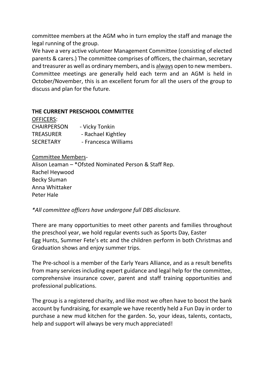committee members at the AGM who in turn employ the staff and manage the legal running of the group.

We have a very active volunteer Management Committee (consisting of elected parents & carers.) The committee comprises of officers, the chairman, secretary and treasurer as well as ordinary members, and is always open to new members. Committee meetings are generally held each term and an AGM is held in October/November, this is an excellent forum for all the users of the group to discuss and plan for the future.

## **THE CURRENT PRESCHOOL COMMITTEE**

| <b>OFFICERS:</b>   |                      |
|--------------------|----------------------|
| <b>CHAIRPERSON</b> | - Vicky Tonkin       |
| <b>TREASURER</b>   | - Rachael Kightley   |
| <b>SECRETARY</b>   | - Francesca Williams |

#### Committee Members-

Alison Leaman – \*Ofsted Nominated Person & Staff Rep. Rachel Heywood Becky Sluman Anna Whittaker Peter Hale

*\*All committee officers have undergone full DBS disclosure.*

There are many opportunities to meet other parents and families throughout the preschool year, we hold regular events such as Sports Day, Easter Egg Hunts, Summer Fete's etc and the children perform in both Christmas and Graduation shows and enjoy summer trips.

The Pre-school is a member of the Early Years Alliance, and as a result benefits from many services including expert guidance and legal help for the committee, comprehensive insurance cover, parent and staff training opportunities and professional publications.

The group is a registered charity, and like most we often have to boost the bank account by fundraising, for example we have recently held a Fun Day in order to purchase a new mud kitchen for the garden. So, your ideas, talents, contacts, help and support will always be very much appreciated!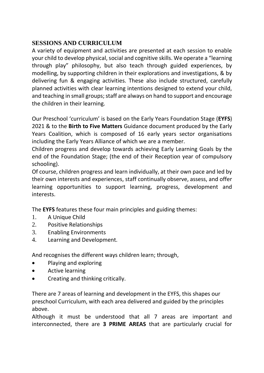# **SESSIONS AND CURRICULUM**

A variety of equipment and activities are presented at each session to enable your child to develop physical, social and cognitive skills. We operate a "learning through play" philosophy, but also teach through guided experiences, by modelling, by supporting children in their explorations and investigations, & by delivering fun & engaging activities. These also include structured, carefully planned activities with clear learning intentions designed to extend your child, and teaching in small groups; staff are always on hand to support and encourage the children in their learning.

Our Preschool 'curriculum' is based on the Early Years Foundation Stage (**EYFS**) 2021 & to the **Birth to Five Matters** Guidance document produced by the Early Years Coalition, which is composed of 16 early years sector organisations including the Early Years Alliance of which we are a member.

Children progress and develop towards achieving Early Learning Goals by the end of the Foundation Stage; (the end of their Reception year of compulsory schooling).

Of course, children progress and learn individually, at their own pace and led by their own interests and experiences, staff continually observe, assess, and offer learning opportunities to support learning, progress, development and interests.

The **EYFS** features these four main principles and guiding themes:

- 1. A Unique Child
- 2. Positive Relationships
- 3. Enabling Environments
- 4. Learning and Development.

And recognises the different ways children learn; through,

- Playing and exploring
- Active learning
- Creating and thinking critically.

There are 7 areas of learning and development in the EYFS, this shapes our preschool Curriculum, with each area delivered and guided by the principles above.

Although it must be understood that all 7 areas are important and interconnected, there are **3 PRIME AREAS** that are particularly crucial for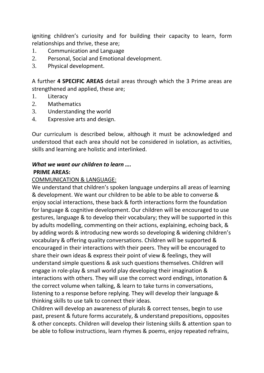igniting children's curiosity and for building their capacity to learn, form relationships and thrive, these are;

- 1. Communication and Language
- 2. Personal, Social and Emotional development.
- 3. Physical development.

A further **4 SPECIFIC AREAS** detail areas through which the 3 Prime areas are strengthened and applied, these are;

- 1. Literacy
- 2. Mathematics
- 3. Understanding the world
- 4. Expressive arts and design.

Our curriculum is described below, although it must be acknowledged and understood that each area should not be considered in isolation, as activities, skills and learning are holistic and interlinked.

# *What we want our children to learn ….*  **PRIME AREAS:**

#### COMMUNICATION & LANGUAGE:

We understand that children's spoken language underpins all areas of learning & development. We want our children to be able to be able to converse & enjoy social interactions, these back & forth interactions form the foundation for language & cognitive development. Our children will be encouraged to use gestures, language & to develop their vocabulary; they will be supported in this by adults modelling, commenting on their actions, explaining, echoing back, & by adding words & introducing new words so developing & widening children's vocabulary & offering quality conversations. Children will be supported & encouraged in their interactions with their peers. They will be encouraged to share their own ideas & express their point of view & feelings, they will understand simple questions & ask such questions themselves. Children will engage in role-play & small world play developing their imagination & interactions with others. They will use the correct word endings, intonation & the correct volume when talking, & learn to take turns in conversations, listening to a response before replying. They will develop their language & thinking skills to use talk to connect their ideas.

Children will develop an awareness of plurals & correct tenses, begin to use past, present & future forms accurately, & understand prepositions, opposites & other concepts. Children will develop their listening skills & attention span to be able to follow instructions, learn rhymes & poems, enjoy repeated refrains,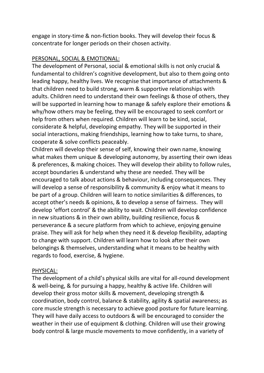engage in story-time & non-fiction books. They will develop their focus & concentrate for longer periods on their chosen activity.

#### PERSONAL, SOCIAL & EMOTIONAL:

The development of Personal, social & emotional skills is not only crucial & fundamental to children's cognitive development, but also to them going onto leading happy, healthy lives. We recognise that importance of attachments & that children need to build strong, warm & supportive relationships with adults. Children need to understand their own feelings & those of others, they will be supported in learning how to manage & safely explore their emotions & why/how others may be feeling, they will be encouraged to seek comfort or help from others when required. Children will learn to be kind, social, considerate & helpful, developing empathy. They will be supported in their social interactions, making friendships, learning how to take turns, to share, cooperate & solve conflicts peaceably.

Children will develop their sense of self, knowing their own name, knowing what makes them unique & developing autonomy, by asserting their own ideas & preferences, & making choices. They will develop their ability to follow rules, accept boundaries & understand why these are needed. They will be encouraged to talk about actions & behaviour, including consequences. They will develop a sense of responsibility & community & enjoy what it means to be part of a group. Children will learn to notice similarities & differences, to accept other's needs & opinions, & to develop a sense of fairness. They will develop 'effort control' & the ability to wait. Children will develop confidence in new situations & in their own ability, building resilience, focus & perseverance & a secure platform from which to achieve, enjoying genuine praise. They will ask for help when they need it & develop flexibility, adapting to change with support. Children will learn how to look after their own belongings & themselves, understanding what it means to be healthy with regards to food, exercise, & hygiene.

#### PHYSICAL:

The development of a child's physical skills are vital for all-round development & well-being, & for pursuing a happy, healthy & active life. Children will develop their gross motor skills & movement, developing strength & coordination, body control, balance & stability, agility & spatial awareness; as core muscle strength is necessary to achieve good posture for future learning. They will have daily access to outdoors & will be encouraged to consider the weather in their use of equipment & clothing. Children will use their growing body control & large muscle movements to move confidently, in a variety of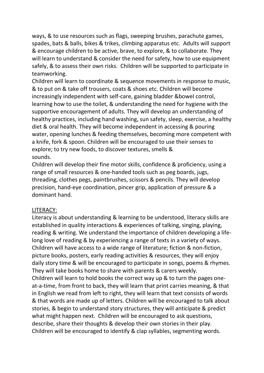ways, & to use resources such as flags, sweeping brushes, parachute games, spades, bats & balls, bikes & trikes, climbing apparatus etc. Adults will support & encourage children to be active, brave, to explore, & to collaborate. They will learn to understand & consider the need for safety, how to use equipment safely, & to assess their own risks. Children will be supported to participate in teamworking.

Children will learn to coordinate & sequence movements in response to music, & to put on & take off trousers, coats & shoes etc. Children will become increasingly independent with self-care, gaining bladder &bowel control, learning how to use the toilet, & understanding the need for hygiene with the supportive encouragement of adults. They will develop an understanding of healthy practices, including hand washing, sun safety, sleep, exercise, a healthy diet & oral health. They will become independent in accessing & pouring water, opening lunches & feeding themselves, becoming more competent with a knife, fork & spoon. Children will be encouraged to use their senses to explore; to try new foods, to discover textures, smells & sounds.

Children will develop their fine motor skills, confidence & proficiency, using a range of small resources & one-handed tools such as peg boards, jugs, threading, clothes pegs, paintbrushes, scissors & pencils. They will develop precision, hand-eye coordination, pincer grip, application of pressure & a dominant hand.

#### LITERACY:

Literacy is about understanding & learning to be understood, literacy skills are established in quality interactions & experiences of talking, singing, playing, reading & writing. We understand the importance of children developing a lifelong love of reading & by experiencing a range of texts in a variety of ways. Children will have access to a wide range of literature; fiction & non-fiction, picture books, posters, early reading activities & resources, they will enjoy daily story time & will be encouraged to participate in songs, poems & rhymes. They will take books home to share with parents & carers weekly. Children will learn to hold books the correct way up & to turn the pages oneat-a-time, from front to back, they will learn that print carries meaning, & that in English we read from left to right, they will learn that text consists of words & that words are made up of letters. Children will be encouraged to talk about stories, & begin to understand story structures, they will anticipate & predict what might happen next. Children will be encouraged to ask questions, describe, share their thoughts & develop their own stories in their play. Children will be encouraged to identify & clap syllables, segmenting words.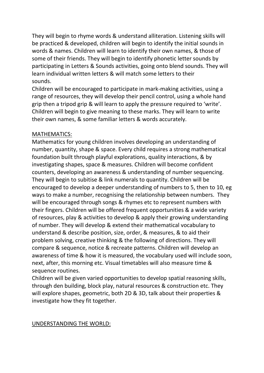They will begin to rhyme words & understand alliteration. Listening skills will be practiced & developed, children will begin to identify the initial sounds in words & names. Children will learn to identify their own names, & those of some of their friends. They will begin to identify phonetic letter sounds by participating in Letters & Sounds activities, going onto blend sounds. They will learn individual written letters & will match some letters to their sounds.

Children will be encouraged to participate in mark-making activities, using a range of resources, they will develop their pencil control, using a whole hand grip then a tripod grip & will learn to apply the pressure required to 'write'. Children will begin to give meaning to these marks. They will learn to write their own names, & some familiar letters & words accurately.

#### MATHEMATICS:

Mathematics for young children involves developing an understanding of number, quantity, shape & space. Every child requires a strong mathematical foundation built through playful explorations, quality interactions, & by investigating shapes, space & measures. Children will become confident counters, developing an awareness & understanding of number sequencing. They will begin to subitise & link numerals to quantity. Children will be encouraged to develop a deeper understanding of numbers to 5, then to 10, eg ways to make a number, recognising the relationship between numbers. They will be encouraged through songs & rhymes etc to represent numbers with their fingers. Children will be offered frequent opportunities & a wide variety of resources, play & activities to develop & apply their growing understanding of number. They will develop & extend their mathematical vocabulary to understand & describe position, size, order, & measures, & to aid their problem solving, creative thinking & the following of directions. They will compare & sequence, notice & recreate patterns. Children will develop an awareness of time & how it is measured, the vocabulary used will include soon, next, after, this morning etc. Visual timetables will also measure time & sequence routines.

Children will be given varied opportunities to develop spatial reasoning skills, through den building, block play, natural resources & construction etc. They will explore shapes, geometric, both 2D & 3D, talk about their properties & investigate how they fit together.

#### UNDERSTANDING THE WORLD: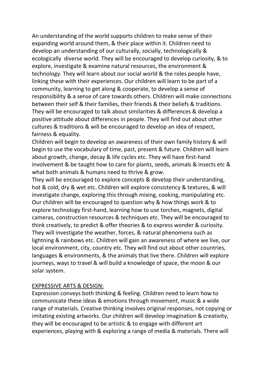An understanding of the world supports children to make sense of their expanding world around them, & their place within it. Children need to develop an understanding of our culturally, socially, technologically & ecologically diverse world. They will be encouraged to develop curiosity, & to explore, investigate & examine natural resources, the environment & technology. They will learn about our social world & the roles people have, linking these with their experiences. Our children will learn to be part of a community, learning to get along & cooperate, to develop a sense of responsibility & a sense of care towards others. Children will make connections between their self & their families, their friends & their beliefs & traditions. They will be encouraged to talk about similarities & differences & develop a positive attitude about differences in people. They will find out about other cultures & traditions & will be encouraged to develop an idea of respect, fairness & equality.

Children will begin to develop an awareness of their own family history & will begin to use the vocabulary of time, past, present & future. Children will learn about growth, change, decay & life cycles etc. They will have first-hand involvement & be taught how to care for plants, seeds, animals & insects etc & what both animals & humans need to thrive & grow.

They will be encouraged to explore concepts & develop their understanding, hot & cold, dry & wet etc. Children will explore consistency & textures, & will investigate change, exploring this through mixing, cooking, manipulating etc. Our children will be encouraged to question why & how things work & to explore technology first-hand, learning how to use torches, magnets, digital cameras, construction resources & techniques etc. They will be encouraged to think creatively, to predict & offer theories & to express wonder & curiosity. They will investigate the weather, forces, & natural phenomena such as lightning & rainbows etc. Children will gain an awareness of where we live, our local environment, city, country etc. They will find out about other countries, languages & environments, & the animals that live there. Children will explore journeys, ways to travel & will build a knowledge of space, the moon & our solar system.

#### EXPRESSIVE ARTS & DESIGN:

Expression conveys both thinking & feeling. Children need to learn how to communicate these ideas & emotions through movement, music & a wide range of materials. Creative thinking involves original responses, not copying or imitating existing artworks. Our children will develop imagination & creativity, they will be encouraged to be artistic & to engage with different art experiences, playing with & exploring a range of media & materials. There will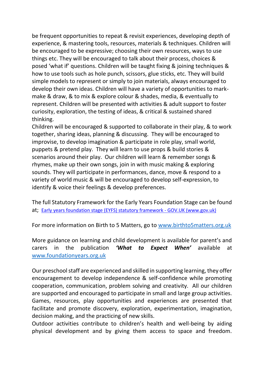be frequent opportunities to repeat & revisit experiences, developing depth of experience, & mastering tools, resources, materials & techniques. Children will be encouraged to be expressive; choosing their own resources, ways to use things etc. They will be encouraged to talk about their process, choices & posed 'what if' questions. Children will be taught fixing & joining techniques & how to use tools such as hole punch, scissors, glue sticks, etc. They will build simple models to represent or simply to join materials, always encouraged to develop their own ideas. Children will have a variety of opportunities to markmake & draw, & to mix & explore colour & shades, media, & eventually to represent. Children will be presented with activities & adult support to foster curiosity, exploration, the testing of ideas, & critical & sustained shared thinking.

Children will be encouraged & supported to collaborate in their play, & to work together, sharing ideas, planning & discussing. They will be encouraged to improvise, to develop imagination & participate in role play, small world, puppets & pretend play. They will learn to use props & build stories & scenarios around their play. Our children will learn & remember songs & rhymes, make up their own songs, join in with music making & exploring sounds. They will participate in performances, dance, move & respond to a variety of world music & will be encouraged to develop self-expression, to identify & voice their feelings & develop preferences.

The full Statutory Framework for the Early Years Foundation Stage can be found at; [Early years foundation stage \(EYFS\) statutory framework -](https://www.gov.uk/government/publications/early-years-foundation-stage-framework--2) GOV.UK (www.gov.uk)

For more information on Birth to 5 Matters, go to [www.birthto5matters.org.uk](http://www.birthto5matters.org.uk/)

More guidance on learning and child development is available for parent's and carers in the publication *'What to Expect When'* available at [www.foundationyears.org.uk](http://www.foundationyears.org.uk/)

Our preschool staff are experienced and skilled in supporting learning, they offer encouragement to develop independence & self-confidence while promoting cooperation, communication, problem solving and creativity. All our children are supported and encouraged to participate in small and large group activities. Games, resources, play opportunities and experiences are presented that facilitate and promote discovery, exploration, experimentation, imagination, decision making, and the practicing of new skills.

Outdoor activities contribute to children's health and well-being by aiding physical development and by giving them access to space and freedom.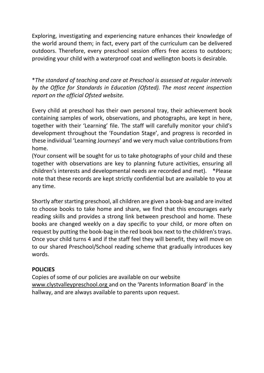Exploring, investigating and experiencing nature enhances their knowledge of the world around them; in fact, every part of the curriculum can be delivered outdoors. Therefore, every preschool session offers free access to outdoors; providing your child with a waterproof coat and wellington boots is desirable.

\**The standard of teaching and care at Preschool is assessed at regular intervals by the Office for Standards in Education (Ofsted). The most recent inspection report on the official Ofsted website.*

Every child at preschool has their own personal tray, their achievement book containing samples of work, observations, and photographs, are kept in here, together with their 'Learning' file. The staff will carefully monitor your child's development throughout the 'Foundation Stage', and progress is recorded in these individual 'Learning Journeys' and we very much value contributions from home.

(Your consent will be sought for us to take photographs of your child and these together with observations are key to planning future activities, ensuring all children's interests and developmental needs are recorded and met). \*Please note that these records are kept strictly confidential but are available to you at any time.

Shortly after starting preschool, all children are given a book-bag and are invited to choose books to take home and share, we find that this encourages early reading skills and provides a strong link between preschool and home. These books are changed weekly on a day specific to your child, or more often on request by putting the book-bag in the red book box next to the children's trays. Once your child turns 4 and if the staff feel they will benefit, they will move on to our shared Preschool/School reading scheme that gradually introduces key words.

# **POLICIES**

Copies of some of our policies are available on our website [www.clystvalleypreschool.org](http://www.clystvalleypreschool.org/) and on the 'Parents Information Board' in the hallway, and are always available to parents upon request.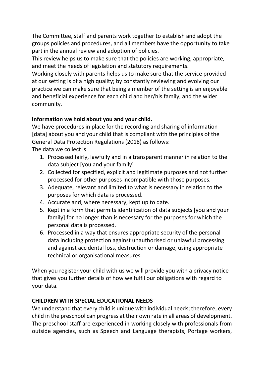The Committee, staff and parents work together to establish and adopt the groups policies and procedures, and all members have the opportunity to take part in the annual review and adoption of policies.

This review helps us to make sure that the policies are working, appropriate, and meet the needs of legislation and statutory requirements.

Working closely with parents helps us to make sure that the service provided at our setting is of a high quality; by constantly reviewing and evolving our practice we can make sure that being a member of the setting is an enjoyable and beneficial experience for each child and her/his family, and the wider community.

# **Information we hold about you and your child.**

We have procedures in place for the recording and sharing of information [data] about you and your child that is compliant with the principles of the General Data Protection Regulations (2018) as follows:

The data we collect is

- 1. Processed fairly, lawfully and in a transparent manner in relation to the data subject [you and your family]
- 2. Collected for specified, explicit and legitimate purposes and not further processed for other purposes incompatible with those purposes.
- 3. Adequate, relevant and limited to what is necessary in relation to the purposes for which data is processed.
- 4. Accurate and, where necessary, kept up to date.
- 5. Kept in a form that permits identification of data subjects [you and your family] for no longer than is necessary for the purposes for which the personal data is processed.
- 6. Processed in a way that ensures appropriate security of the personal data including protection against unauthorised or unlawful processing and against accidental loss, destruction or damage, using appropriate technical or organisational measures.

When you register your child with us we will provide you with a privacy notice that gives you further details of how we fulfil our obligations with regard to your data.

# **CHILDREN WITH SPECIAL EDUCATIONAL NEEDS**

We understand that every child is unique with individual needs; therefore, every child in the preschool can progress at their own rate in all areas of development. The preschool staff are experienced in working closely with professionals from outside agencies, such as Speech and Language therapists, Portage workers,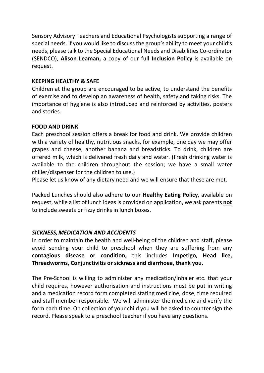Sensory Advisory Teachers and Educational Psychologists supporting a range of special needs. If you would like to discuss the group's ability to meet your child's needs, please talk to the Special Educational Needs and Disabilities Co-ordinator (SENDCO), **Alison Leaman,** a copy of our full **Inclusion Policy** is available on request.

#### **KEEPING HEALTHY & SAFE**

Children at the group are encouraged to be active, to understand the benefits of exercise and to develop an awareness of health, safety and taking risks. The importance of hygiene is also introduced and reinforced by activities, posters and stories.

## **FOOD AND DRINK**

Each preschool session offers a break for food and drink. We provide children with a variety of healthy, nutritious snacks, for example, one day we may offer grapes and cheese, another banana and breadsticks. To drink, children are offered milk, which is delivered fresh daily and water. (Fresh drinking water is available to the children throughout the session; we have a small water chiller/dispenser for the children to use.)

Please let us know of any dietary need and we will ensure that these are met.

Packed Lunches should also adhere to our **Healthy Eating Policy**, available on request, while a list of lunch ideas is provided on application, we ask parents **not** to include sweets or fizzy drinks in lunch boxes.

# *SICKNESS,MEDICATION AND ACCIDENTS*

In order to maintain the health and well-being of the children and staff, please avoid sending your child to preschool when they are suffering from any **contagious disease or condition,** this includes **Impetigo, Head lice, Threadworms, Conjunctivitis or sickness and diarrhoea, thank you.** 

The Pre-School is willing to administer any medication/inhaler etc. that your child requires, however authorisation and instructions must be put in writing and a medication record form completed stating medicine, dose, time required and staff member responsible. We will administer the medicine and verify the form each time. On collection of your child you will be asked to counter sign the record. Please speak to a preschool teacher if you have any questions.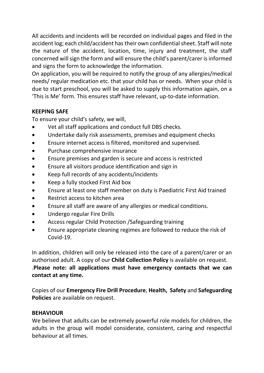All accidents and incidents will be recorded on individual pages and filed in the accident log; each child/accident has their own confidential sheet. Staff will note the nature of the accident, location, time, injury and treatment, the staff concerned will sign the form and will ensure the child's parent/carer is informed and signs the form to acknowledge the information.

On application, you will be required to notify the group of any allergies/medical needs/ regular medication etc. that your child has or needs. When your child is due to start preschool, you will be asked to supply this information again, on a 'This is Me' form. This ensures staff have relevant, up-to-date information.

# **KEEPING SAFE**

To ensure your child's safety, we will,

- Vet all staff applications and conduct full DBS checks.
- Undertake daily risk assessments, premises and equipment checks
- Ensure internet access is filtered, monitored and supervised.
- Purchase comprehensive insurance
- Ensure premises and garden is secure and access is restricted
- Ensure all visitors produce identification and sign in
- Keep full records of any accidents/incidents
- Keep a fully stocked First Aid box
- Ensure at least one staff member on duty is Paediatric First Aid trained
- Restrict access to kitchen area
- Ensure all staff are aware of any allergies or medical conditions.
- Undergo regular Fire Drills
- Access regular Child Protection /Safeguarding training
- Ensure appropriate cleaning regimes are followed to reduce the risk of Covid-19.

In addition, children will only be released into the care of a parent/carer or an authorised adult. A copy of our **Child Collection Policy** is available on request. .**Please note: all applications must have emergency contacts that we can contact at any time.**

Copies of our **Emergency Fire Drill Procedure**, **Health, Safety** and **Safeguarding Policies** are available on request.

# **BEHAVIOUR**

We believe that adults can be extremely powerful role models for children, the adults in the group will model considerate, consistent, caring and respectful behaviour at all times.